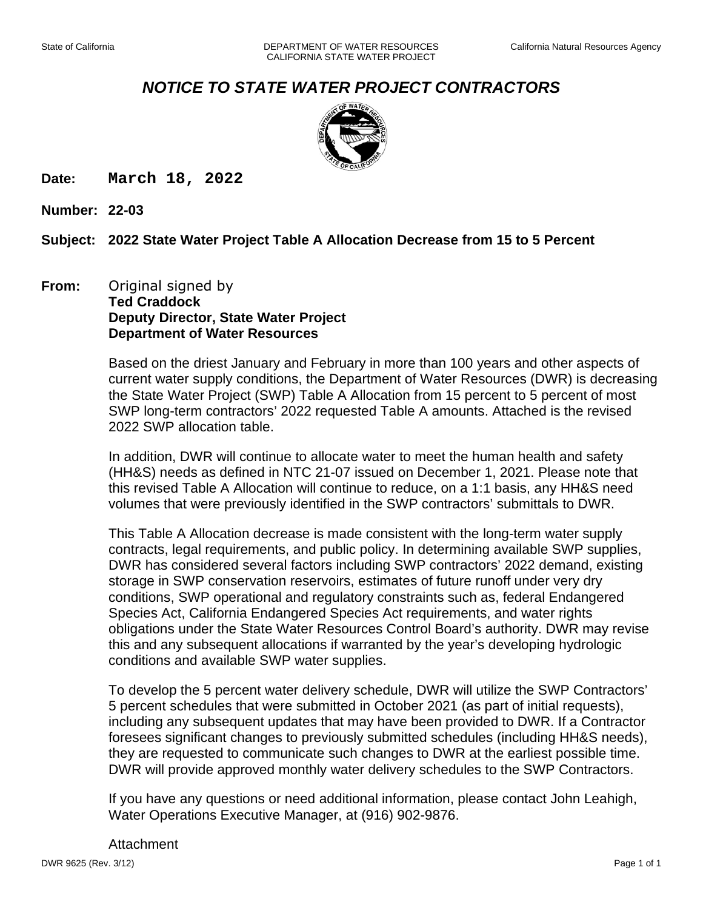## *NOTICE TO STATE WATER PROJECT CONTRACTORS*



**Date: March 18, 2022**

**Number: 22-03**

## **Subject: 2022 State Water Project Table A Allocation Decrease from 15 to 5 Percent**

## **From:** Original signed by **Ted Craddock Deputy Director, State Water Project Department of Water Resources**

Based on the driest January and February in more than 100 years and other aspects of current water supply conditions, the Department of Water Resources (DWR) is decreasing the State Water Project (SWP) Table A Allocation from 15 percent to 5 percent of most SWP long-term contractors' 2022 requested Table A amounts. Attached is the revised 2022 SWP allocation table.

In addition, DWR will continue to allocate water to meet the human health and safety (HH&S) needs as defined in NTC 21-07 issued on December 1, 2021. Please note that this revised Table A Allocation will continue to reduce, on a 1:1 basis, any HH&S need volumes that were previously identified in the SWP contractors' submittals to DWR.

This Table A Allocation decrease is made consistent with the long-term water supply contracts, legal requirements, and public policy. In determining available SWP supplies, DWR has considered several factors including SWP contractors' 2022 demand, existing storage in SWP conservation reservoirs, estimates of future runoff under very dry conditions, SWP operational and regulatory constraints such as, federal Endangered Species Act, California Endangered Species Act requirements, and water rights obligations under the State Water Resources Control Board's authority. DWR may revise this and any subsequent allocations if warranted by the year's developing hydrologic conditions and available SWP water supplies.

To develop the 5 percent water delivery schedule, DWR will utilize the SWP Contractors' 5 percent schedules that were submitted in October 2021 (as part of initial requests), including any subsequent updates that may have been provided to DWR. If a Contractor foresees significant changes to previously submitted schedules (including HH&S needs), they are requested to communicate such changes to DWR at the earliest possible time. DWR will provide approved monthly water delivery schedules to the SWP Contractors.

If you have any questions or need additional information, please contact John Leahigh, Water Operations Executive Manager, at (916) 902-9876.

Attachment